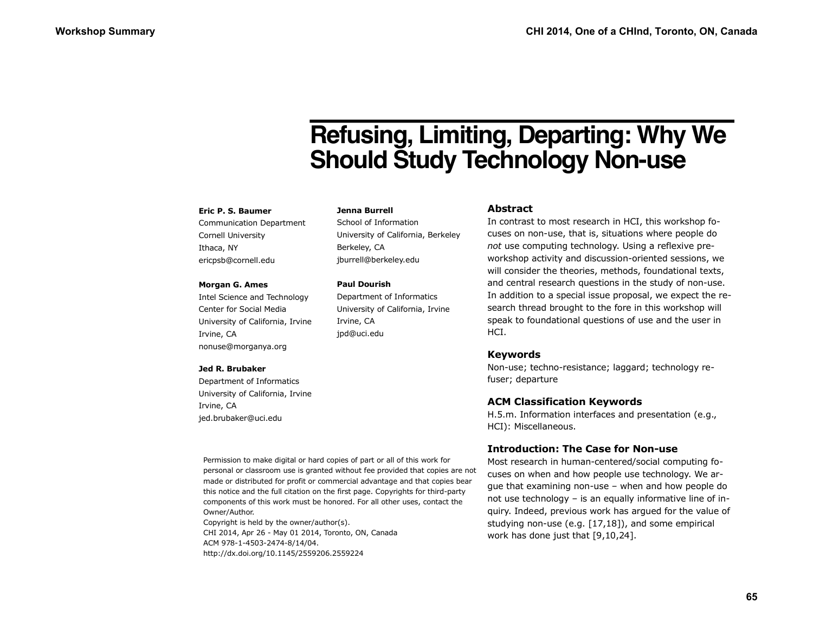# **Refusing, Limiting, Departing: Why We Should Study Technology Non-use**

### **Eric P. S. Baumer**

Communication Department Cornell University Ithaca, NY ericpsb@cornell.edu

#### **Morgan G. Ames**

Intel Science and Technology Center for Social Media University of California, Irvine Irvine, CA nonuse@morganya.org

#### **Jed R. Brubaker**

Department of Informatics University of California, Irvine Irvine, CA jed.brubaker@uci.edu

### **Jenna Burrell**

School of Information University of California, Berkeley Berkeley, CA jburrell@berkeley.edu

### **Paul Dourish**

Department of Informatics University of California, Irvine Irvine, CA jpd@uci.edu

# **Abstract**

In contrast to most research in HCI, this workshop focuses on non-use, that is, situations where people do *not* use computing technology. Using a reflexive preworkshop activity and discussion-oriented sessions, we will consider the theories, methods, foundational texts, and central research questions in the study of non-use. In addition to a special issue proposal, we expect the research thread brought to the fore in this workshop will speak to foundational questions of use and the user in HCI. **CHI 2014, One of a CHInd, The CHI 2014, One of a CHInd, Toronto, ON, Canada<br>
Excite R. Enters and Excited Control of the CHIND, CONTROL ON THE CHIND CONTROL ON THE CHIND CONTROL ON THE CHIND CONTROL ON THE CHIND CONTROL O** 

## **Keywords**

Non-use; techno-resistance; laggard; technology refuser; departure

# **ACM Classification Keywords**

H.5.m. Information interfaces and presentation (e.g., HCI): Miscellaneous.

# **Introduction: The Case for Non-use**

Most research in human-centered/social computing focuses on when and how people use technology. We argue that examining non-use – when and how people do not use technology – is an equally informative line of inquiry. Indeed, previous work has argued for the value of studying non-use (e.g. [17,18]), and some empirical work has done just that [9,10,24].

Permission to make digital or hard copies of part or all of this work for personal or classroom use is granted without fee provided that copies are not made or distributed for profit or commercial advantage and that copies bear this notice and the full citation on the first page. Copyrights for third-party components of this work must be honored. For all other uses, contact the Owner/Author.

Copyright is held by the owner/author(s). CHI 2014, Apr 26 - May 01 2014, Toronto, ON, Canada ACM 978-1-4503-2474-8/14/04. http://dx.doi.org/10.1145/2559206.2559224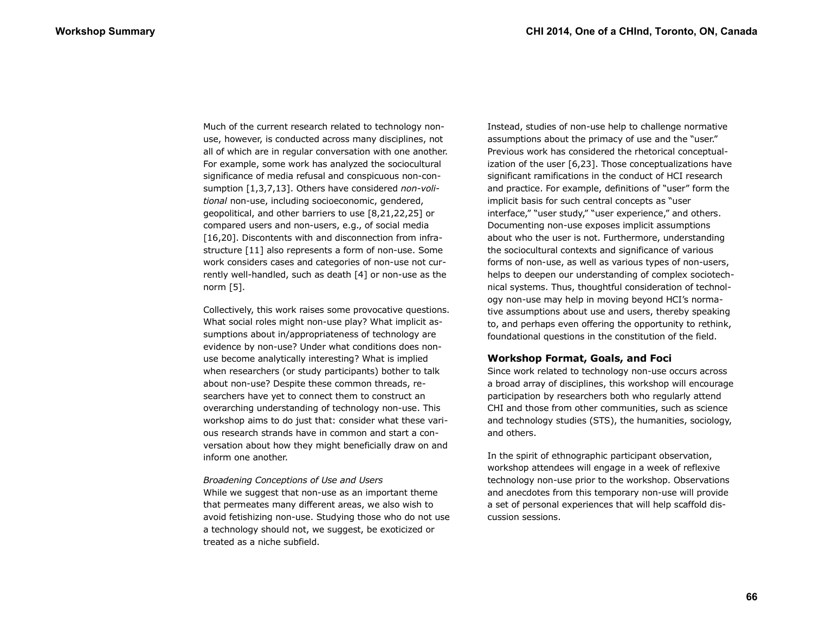Much of the current research related to technology nonuse, however, is conducted across many disciplines, not all of which are in regular conversation with one another. For example, some work has analyzed the sociocultural significance of media refusal and conspicuous non-consumption [1,3,7,13]. Others have considered *non-volitional* non-use, including socioeconomic, gendered, geopolitical, and other barriers to use [8,21,22,25] or compared users and non-users, e.g., of social media [16,20]. Discontents with and disconnection from infrastructure [11] also represents a form of non-use. Some work considers cases and categories of non-use not currently well-handled, such as death [4] or non-use as the norm [5].

Collectively, this work raises some provocative questions. What social roles might non-use play? What implicit assumptions about in/appropriateness of technology are evidence by non-use? Under what conditions does nonuse become analytically interesting? What is implied when researchers (or study participants) bother to talk about non-use? Despite these common threads, researchers have yet to connect them to construct an overarching understanding of technology non-use. This workshop aims to do just that: consider what these various research strands have in common and start a conversation about how they might beneficially draw on and inform one another.

*Broadening Conceptions of Use and Users* While we suggest that non-use as an important theme that permeates many different areas, we also wish to avoid fetishizing non-use. Studying those who do not use a technology should not, we suggest, be exoticized or treated as a niche subfield.

Instead, studies of non-use help to challenge normative assumptions about the primacy of use and the "user." Previous work has considered the rhetorical conceptualization of the user [6,23]. Those conceptualizations have significant ramifications in the conduct of HCI research and practice. For example, definitions of "user" form the implicit basis for such central concepts as "user interface," "user study," "user experience," and others. Documenting non-use exposes implicit assumptions about who the user is not. Furthermore, understanding the sociocultural contexts and significance of various forms of non-use, as well as various types of non-users, helps to deepen our understanding of complex sociotechnical systems. Thus, thoughtful consideration of technology non-use may help in moving beyond HCI's normative assumptions about use and users, thereby speaking to, and perhaps even offering the opportunity to rethink, foundational questions in the constitution of the field. **CHI 2014, One of a CHInd, Toronto, ON, Canada<br>
use, the curver measure material to technology meric increase the control one of a CHI 2014, One of a CHI 2014 where the control one of a CHI 2014 where the control of a CHI** 

## **Workshop Format, Goals, and Foci**

Since work related to technology non-use occurs across a broad array of disciplines, this workshop will encourage participation by researchers both who regularly attend CHI and those from other communities, such as science and technology studies (STS), the humanities, sociology, and others.

In the spirit of ethnographic participant observation, workshop attendees will engage in a week of reflexive technology non-use prior to the workshop. Observations and anecdotes from this temporary non-use will provide a set of personal experiences that will help scaffold discussion sessions.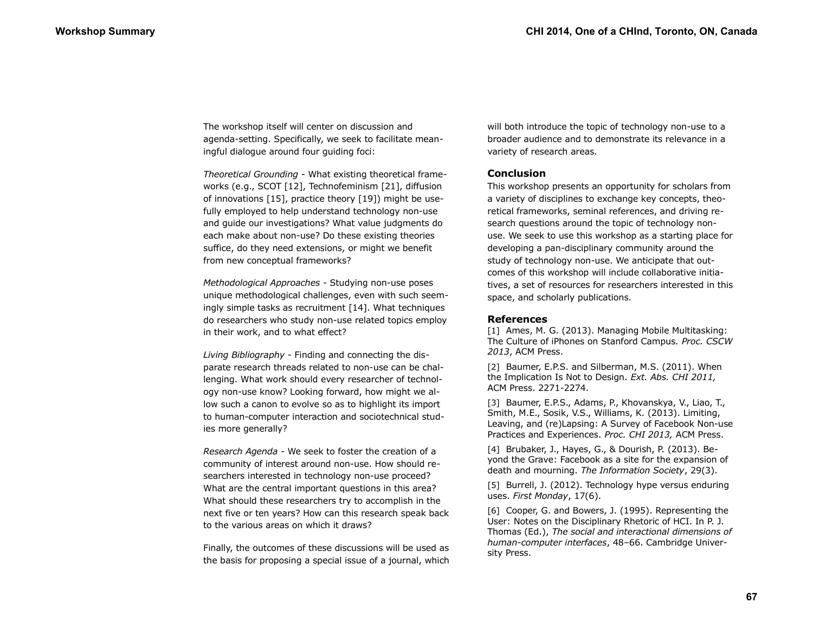The workshop itself will center on discussion and agenda-setting. Specifically, we seek to facilitate meaningful dialogue around four guiding foci:

*Theoretical Grounding* - What existing theoretical frameworks (e.g., SCOT [12], Technofeminism [21], diffusion of innovations [15], practice theory [19]) might be usefully employed to help understand technology non-use and guide our investigations? What value judgments do each make about non-use? Do these existing theories suffice, do they need extensions, or might we benefit from new conceptual frameworks?

*Methodological Approaches* - Studying non-use poses unique methodological challenges, even with such seemingly simple tasks as recruitment [14]. What techniques do researchers who study non-use related topics employ in their work, and to what effect?

*Living Bibliography* - Finding and connecting the disparate research threads related to non-use can be challenging. What work should every researcher of technology non-use know? Looking forward, how might we allow such a canon to evolve so as to highlight its import to human-computer interaction and sociotechnical studies more generally?

*Research Agenda* - We seek to foster the creation of a community of interest around non-use. How should researchers interested in technology non-use proceed? What are the central important questions in this area? What should these researchers try to accomplish in the next five or ten years? How can this research speak back to the various areas on which it draws?

Finally, the outcomes of these discussions will be used as the basis for proposing a special issue of a journal, which will both introduce the topic of technology non-use to a broader audience and to demonstrate its relevance in a variety of research areas.

## **Conclusion**

This workshop presents an opportunity for scholars from a variety of disciplines to exchange key concepts, theoretical frameworks, seminal references, and driving research questions around the topic of technology nonuse. We seek to use this workshop as a starting place for developing a pan-disciplinary community around the study of technology non-use. We anticipate that outcomes of this workshop will include collaborative initiatives, a set of resources for researchers interested in this space, and scholarly publications. **CHI 2014, One of a China, Taronto, ON, Canada<br>
and European of a China, Taronto, ON, Canada<br>
and European of Bureau of the China, we are considered a conservative and the conservative and the conservative and the conserva** 

## **References**

[1] Ames, M. G. (2013). Managing Mobile Multitasking: The Culture of iPhones on Stanford Campus*. Proc. CSCW 2013*, ACM Press.

[2] Baumer, E.P.S. and Silberman, M.S. (2011). When the Implication Is Not to Design. *Ext. Abs. CHI 2011,* ACM Press. 2271-2274.

[3] Baumer, E.P.S., Adams, P., Khovanskya, V., Liao, T., Smith, M.E., Sosik, V.S., Williams, K. (2013). Limiting, Leaving, and (re)Lapsing: A Survey of Facebook Non-use Practices and Experiences. *Proc. CHI 2013,* ACM Press.

[4] Brubaker, J., Hayes, G., & Dourish, P. (2013). Beyond the Grave: Facebook as a site for the expansion of death and mourning. *The Information Society*, 29(3).

[5] Burrell, J. (2012). Technology hype versus enduring uses. *First Monday*, 17(6).

[6] Cooper, G. and Bowers, J. (1995). Representing the User: Notes on the Disciplinary Rhetoric of HCI. In P. J. Thomas (Ed.), *The social and interactional dimensions of human-computer interfaces*, 48–66. Cambridge University Press.